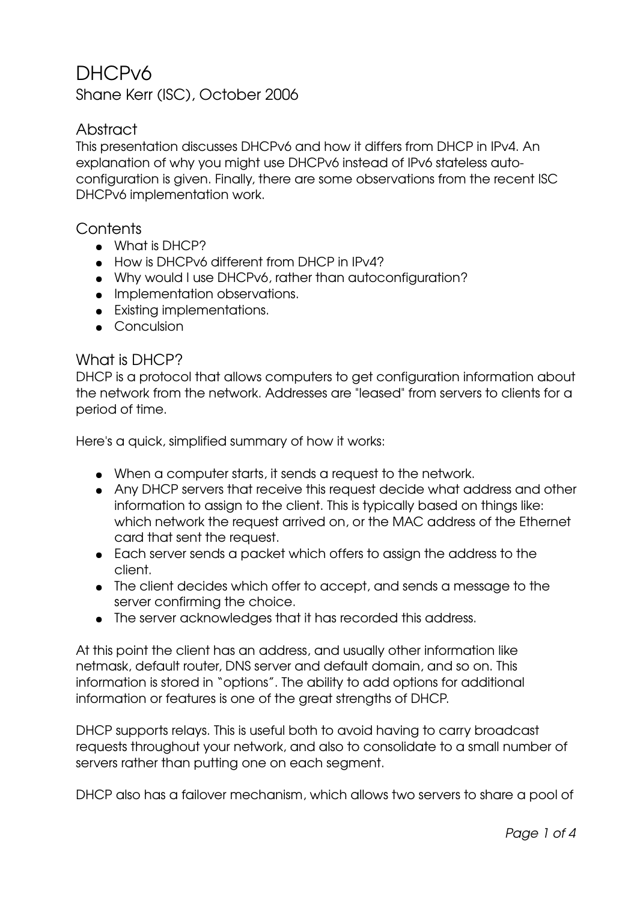# DHCPv6

Shane Kerr (ISC), October 2006

# Abstract

This presentation discusses DHCPv6 and how it differs from DHCP in IPv4. An explanation of why you might use DHCPv6 instead of IPv6 stateless autoconfiguration is given. Finally, there are some observations from the recent ISC DHCPv6 implementation work.

### **Contents**

- What is DHCP?
- How is DHCPv6 different from DHCP in IPv4?
- Why would I use DHCPv6, rather than autoconfiguration?
- Implementation observations.
- Existing implementations.
- Conculsion

#### What is DHCP?

DHCP is a protocol that allows computers to get configuration information about the network from the network. Addresses are "leased" from servers to clients for a period of time.

Here's a quick, simplified summary of how it works:

- When a computer starts, it sends a request to the network.
- Any DHCP servers that receive this request decide what address and other information to assign to the client. This is typically based on things like: which network the request arrived on, or the MAC address of the Ethernet card that sent the request.
- Each server sends a packet which offers to assign the address to the client.
- The client decides which offer to accept, and sends a message to the server confirming the choice.
- The server acknowledges that it has recorded this address.

At this point the client has an address, and usually other information like netmask, default router, DNS server and default domain, and so on. This information is stored in "options". The ability to add options for additional information or features is one of the great strengths of DHCP.

DHCP supports relays. This is useful both to avoid having to carry broadcast requests throughout your network, and also to consolidate to a small number of servers rather than putting one on each segment.

DHCP also has a failover mechanism, which allows two servers to share a pool of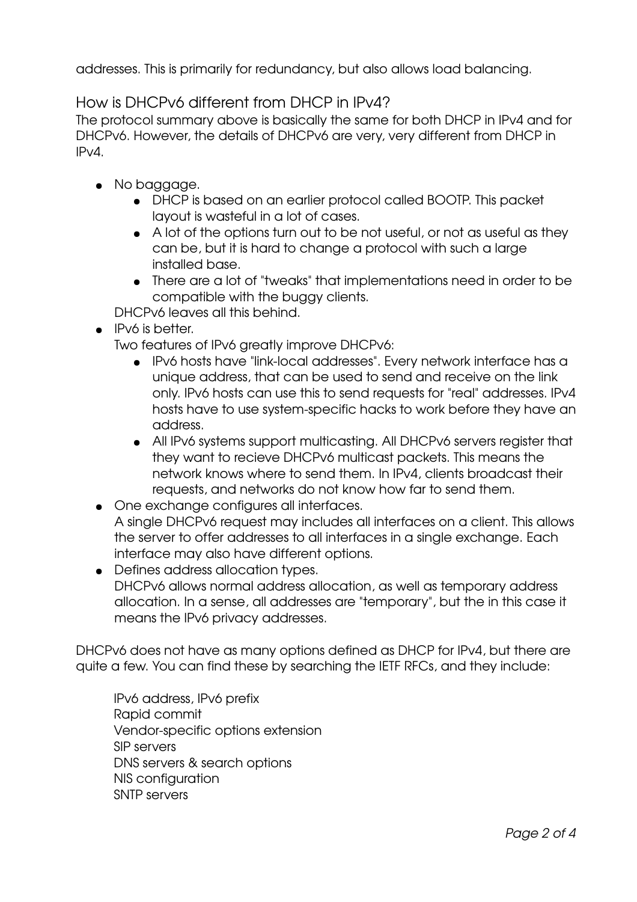addresses. This is primarily for redundancy, but also allows load balancing.

## How is DHCPv6 different from DHCP in IPv4?

The protocol summary above is basically the same for both DHCP in IPv4 and for DHCPv6. However, the details of DHCPv6 are very, very different from DHCP in IPv4.

- No baggage.
	- DHCP is based on an earlier protocol called BOOTP. This packet layout is wasteful in a lot of cases.
	- A lot of the options turn out to be not useful, or not as useful as they can be, but it is hard to change a protocol with such a large installed base.
	- There are a lot of "tweaks" that implementations need in order to be compatible with the buggy clients.

DHCPv6 leaves all this behind.

● IPv6 is better.

Two features of IPv6 greatly improve DHCPv6:

- IPv6 hosts have "linklocal addresses". Every network interface has a unique address, that can be used to send and receive on the link only. IPv6 hosts can use this to send requests for "real" addresses. IPv4 hosts have to use system-specific hacks to work before they have an address.
- All IPv6 systems support multicasting. All DHCPv6 servers register that they want to recieve DHCPv6 multicast packets. This means the network knows where to send them. In IPv4, clients broadcast their requests, and networks do not know how far to send them.
- One exchange configures all interfaces.
- A single DHCPv6 request may includes all interfaces on a client. This allows the server to offer addresses to all interfaces in a single exchange. Each interface may also have different options.
- Defines address allocation types. DHCPv6 allows normal address allocation, as well as temporary address allocation. In a sense, all addresses are "temporary", but the in this case it means the IPv6 privacy addresses.

DHCPv6 does not have as many options defined as DHCP for IPv4, but there are quite a few. You can find these by searching the IETF RFCs, and they include:

IPv6 address, IPv6 prefix Rapid commit Vendor-specific options extension SIP servers DNS servers & search options NIS configuration SNTP servers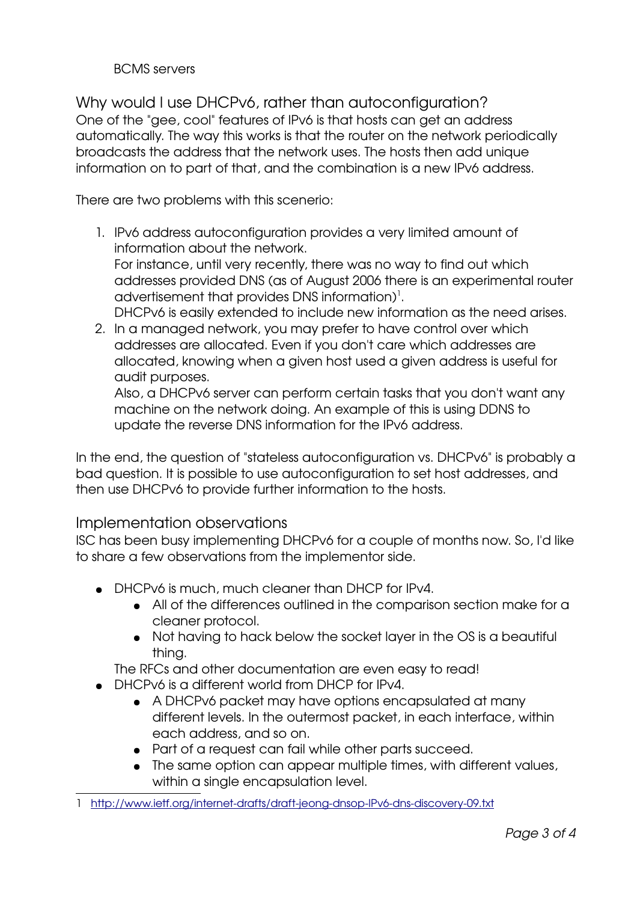#### BCMS servers

Why would I use DHCPv6, rather than autoconfiguration? One of the "gee, cool" features of IPv6 is that hosts can get an address automatically. The way this works is that the router on the network periodically broadcasts the address that the network uses. The hosts then add unique information on to part of that, and the combination is a new IPv6 address.

There are two problems with this scenerio:

- 1. IPv6 address autoconfiguration provides a very limited amount of information about the network. For instance, until very recently, there was no way to find out which addresses provided DNS (as of August 2006 there is an experimental router advertisement that provides DNS information)<sup>[1](#page-2-0)</sup>. DHCPv6 is easily extended to include new information as the need arises.
- 2. In a managed network, you may prefer to have control over which addresses are allocated. Even if you don't care which addresses are allocated, knowing when a given host used a given address is useful for audit purposes.

Also, a DHCPv6 server can perform certain tasks that you don't want any machine on the network doing. An example of this is using DDNS to update the reverse DNS information for the IPv6 address.

In the end, the question of "stateless autoconfiguration vs. DHCPv6" is probably a bad question. It is possible to use autoconfiguration to set host addresses, and then use DHCPv6 to provide further information to the hosts.

### Implementation observations

ISC has been busy implementing DHCPv6 for a couple of months now. So, I'd like to share a few observations from the implementor side.

- DHCPv6 is much, much cleaner than DHCP for IPv4.
	- All of the differences outlined in the comparison section make for a cleaner protocol.
	- Not having to hack below the socket layer in the OS is a beautiful thing.

The RFCs and other documentation are even easy to read!

- DHCPv6 is a different world from DHCP for IPv4.
	- A DHCPv6 packet may have options encapsulated at many different levels. In the outermost packet, in each interface, within each address, and so on.
	- Part of a request can fail while other parts succeed.
	- The same option can appear multiple times, with different values, within a single encapsulation level.

<span id="page-2-0"></span><sup>1</sup> http://www.ietf.org/internet-drafts/draft-jeong-dnsop-IPv6-dns-discovery-09.txt